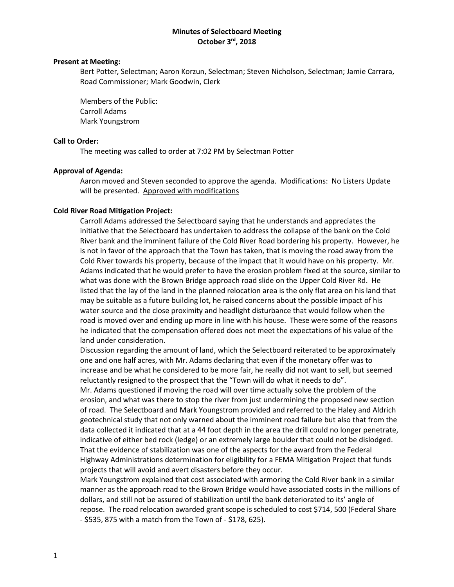# **Minutes of Selectboard Meeting October 3rd, 2018**

## **Present at Meeting:**

Bert Potter, Selectman; Aaron Korzun, Selectman; Steven Nicholson, Selectman; Jamie Carrara, Road Commissioner; Mark Goodwin, Clerk

Members of the Public: Carroll Adams Mark Youngstrom

#### **Call to Order:**

The meeting was called to order at 7:02 PM by Selectman Potter

#### **Approval of Agenda:**

Aaron moved and Steven seconded to approve the agenda. Modifications: No Listers Update will be presented. Approved with modifications

#### **Cold River Road Mitigation Project:**

Carroll Adams addressed the Selectboard saying that he understands and appreciates the initiative that the Selectboard has undertaken to address the collapse of the bank on the Cold River bank and the imminent failure of the Cold River Road bordering his property. However, he is not in favor of the approach that the Town has taken, that is moving the road away from the Cold River towards his property, because of the impact that it would have on his property. Mr. Adams indicated that he would prefer to have the erosion problem fixed at the source, similar to what was done with the Brown Bridge approach road slide on the Upper Cold River Rd. He listed that the lay of the land in the planned relocation area is the only flat area on his land that may be suitable as a future building lot, he raised concerns about the possible impact of his water source and the close proximity and headlight disturbance that would follow when the road is moved over and ending up more in line with his house. These were some of the reasons he indicated that the compensation offered does not meet the expectations of his value of the land under consideration.

Discussion regarding the amount of land, which the Selectboard reiterated to be approximately one and one half acres, with Mr. Adams declaring that even if the monetary offer was to increase and be what he considered to be more fair, he really did not want to sell, but seemed reluctantly resigned to the prospect that the "Town will do what it needs to do".

Mr. Adams questioned if moving the road will over time actually solve the problem of the erosion, and what was there to stop the river from just undermining the proposed new section of road. The Selectboard and Mark Youngstrom provided and referred to the Haley and Aldrich geotechnical study that not only warned about the imminent road failure but also that from the data collected it indicated that at a 44 foot depth in the area the drill could no longer penetrate, indicative of either bed rock (ledge) or an extremely large boulder that could not be dislodged. That the evidence of stabilization was one of the aspects for the award from the Federal Highway Administrations determination for eligibility for a FEMA Mitigation Project that funds projects that will avoid and avert disasters before they occur.

Mark Youngstrom explained that cost associated with armoring the Cold River bank in a similar manner as the approach road to the Brown Bridge would have associated costs in the millions of dollars, and still not be assured of stabilization until the bank deteriorated to its' angle of repose. The road relocation awarded grant scope is scheduled to cost \$714, 500 (Federal Share - \$535, 875 with a match from the Town of - \$178, 625).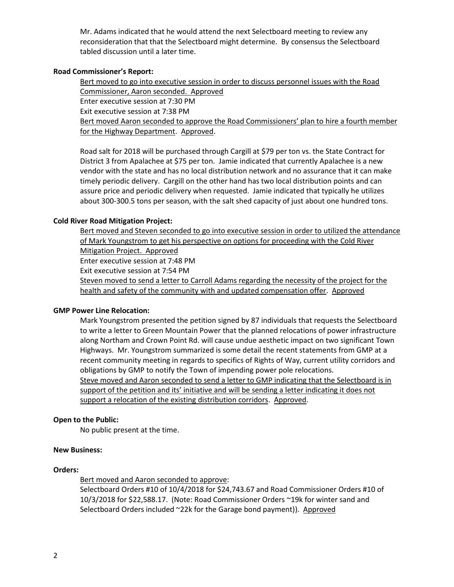Mr. Adams indicated that he would attend the next Selectboard meeting to review any reconsideration that that the Selectboard might determine. By consensus the Selectboard tabled discussion until a later time.

# **Road Commissioner's Report:**

Bert moved to go into executive session in order to discuss personnel issues with the Road Commissioner, Aaron seconded. Approved Enter executive session at 7:30 PM Exit executive session at 7:38 PM Bert moved Aaron seconded to approve the Road Commissioners' plan to hire a fourth member for the Highway Department. Approved.

Road salt for 2018 will be purchased through Cargill at \$79 per ton vs. the State Contract for District 3 from Apalachee at \$75 per ton. Jamie indicated that currently Apalachee is a new vendor with the state and has no local distribution network and no assurance that it can make timely periodic delivery. Cargill on the other hand has two local distribution points and can assure price and periodic delivery when requested. Jamie indicated that typically he utilizes about 300-300.5 tons per season, with the salt shed capacity of just about one hundred tons.

## **Cold River Road Mitigation Project:**

Bert moved and Steven seconded to go into executive session in order to utilized the attendance of Mark Youngstrom to get his perspective on options for proceeding with the Cold River Mitigation Project. Approved Enter executive session at 7:48 PM Exit executive session at 7:54 PM Steven moved to send a letter to Carroll Adams regarding the necessity of the project for the health and safety of the community with and updated compensation offer. Approved

## **GMP Power Line Relocation:**

Mark Youngstrom presented the petition signed by 87 individuals that requests the Selectboard to write a letter to Green Mountain Power that the planned relocations of power infrastructure along Northam and Crown Point Rd. will cause undue aesthetic impact on two significant Town Highways. Mr. Youngstrom summarized is some detail the recent statements from GMP at a recent community meeting in regards to specifics of Rights of Way, current utility corridors and obligations by GMP to notify the Town of impending power pole relocations. Steve moved and Aaron seconded to send a letter to GMP indicating that the Selectboard is in support of the petition and its' initiative and will be sending a letter indicating it does not support a relocation of the existing distribution corridors. Approved.

## **Open to the Public:**

No public present at the time.

## **New Business:**

## **Orders:**

Bert moved and Aaron seconded to approve:

Selectboard Orders #10 of 10/4/2018 for \$24,743.67 and Road Commissioner Orders #10 of 10/3/2018 for \$22,588.17. (Note: Road Commissioner Orders ~19k for winter sand and Selectboard Orders included ~22k for the Garage bond payment)). Approved